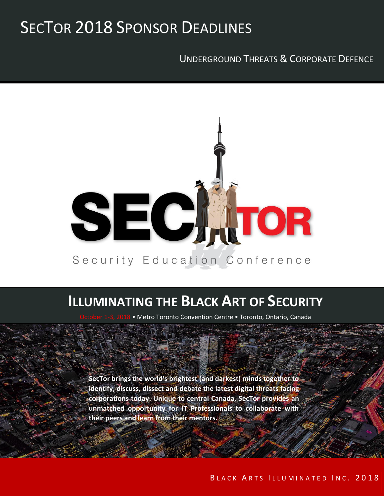## SECTOR 2018 SPONSOR DEADLINES

UNDERGROUND THREATS & CORPORATE DEFENCE



## **ILLUMINATING THE BLACK ART OF SECURITY**

• Metro Toronto Convention Centre • Toronto, Ontario, Canada

Metro Toronto Convention Centre

Toronto, Ontario, Canada

**SecTor brings the world's brightest (and darkest) minds together to identify, discuss, dissect and debate the latest digital threats facing corporations today. Unique to central Canada, SecTor provides an unmatched opportunity for IT Professionals to collaborate with their peers and learn from their mentors.**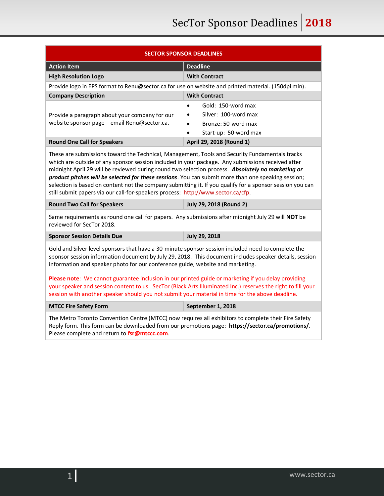| <b>SECTOR SPONSOR DEADLINES</b>                                                                                                                                                                                                                                                                                                                                                                                                                                                                                                                                                                                           |                                                                                            |
|---------------------------------------------------------------------------------------------------------------------------------------------------------------------------------------------------------------------------------------------------------------------------------------------------------------------------------------------------------------------------------------------------------------------------------------------------------------------------------------------------------------------------------------------------------------------------------------------------------------------------|--------------------------------------------------------------------------------------------|
| <b>Action Item</b>                                                                                                                                                                                                                                                                                                                                                                                                                                                                                                                                                                                                        | <b>Deadline</b>                                                                            |
| <b>High Resolution Logo</b>                                                                                                                                                                                                                                                                                                                                                                                                                                                                                                                                                                                               | <b>With Contract</b>                                                                       |
| Provide logo in EPS format to Renu@sector.ca for use on website and printed material. (150dpi min).                                                                                                                                                                                                                                                                                                                                                                                                                                                                                                                       |                                                                                            |
| <b>Company Description</b>                                                                                                                                                                                                                                                                                                                                                                                                                                                                                                                                                                                                | <b>With Contract</b>                                                                       |
| Provide a paragraph about your company for our<br>website sponsor page - email Renu@sector.ca.                                                                                                                                                                                                                                                                                                                                                                                                                                                                                                                            | Gold: 150-word max<br>Silver: 100-word max<br>Bronze: 50-word max<br>Start-up: 50-word max |
| <b>Round One Call for Speakers</b>                                                                                                                                                                                                                                                                                                                                                                                                                                                                                                                                                                                        | April 29, 2018 (Round 1)                                                                   |
| These are submissions toward the Technical, Management, Tools and Security Fundamentals tracks<br>which are outside of any sponsor session included in your package. Any submissions received after<br>midnight April 29 will be reviewed during round two selection process. Absolutely no marketing or<br>product pitches will be selected for these sessions. You can submit more than one speaking session;<br>selection is based on content not the company submitting it. If you qualify for a sponsor session you can<br>still submit papers via our call-for-speakers process: http://www.sector.ca/cfp.          |                                                                                            |
| <b>Round Two Call for Speakers</b>                                                                                                                                                                                                                                                                                                                                                                                                                                                                                                                                                                                        | <b>July 29, 2018 (Round 2)</b>                                                             |
| Same requirements as round one call for papers. Any submissions after midnight July 29 will NOT be<br>reviewed for SecTor 2018.                                                                                                                                                                                                                                                                                                                                                                                                                                                                                           |                                                                                            |
| <b>Sponsor Session Details Due</b>                                                                                                                                                                                                                                                                                                                                                                                                                                                                                                                                                                                        | <b>July 29, 2018</b>                                                                       |
| Gold and Silver level sponsors that have a 30-minute sponsor session included need to complete the<br>sponsor session information document by July 29, 2018. This document includes speaker details, session<br>information and speaker photo for our conference guide, website and marketing.<br>Please note: We cannot guarantee inclusion in our printed guide or marketing if you delay providing<br>your speaker and session content to us. SecTor (Black Arts Illuminated Inc.) reserves the right to fill your<br>session with another speaker should you not submit your material in time for the above deadline. |                                                                                            |
| <b>MTCC Fire Safety Form</b>                                                                                                                                                                                                                                                                                                                                                                                                                                                                                                                                                                                              | September 1, 2018                                                                          |
| The Metro Toronto Convention Centre (MTCC) now requires all exhibitors to complete their Fire Safety<br>Reply form. This form can be downloaded from our promotions page: https://sector.ca/promotions/.<br>Please complete and return to fsr@mtccc.com.                                                                                                                                                                                                                                                                                                                                                                  |                                                                                            |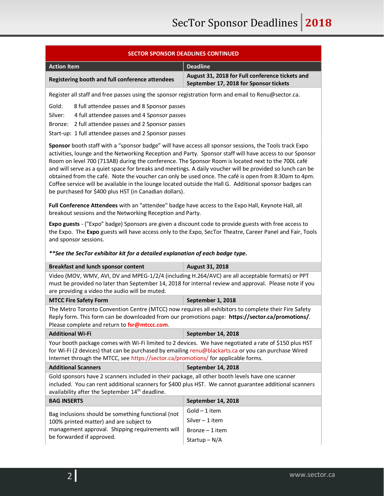| <b>SECTOR SPONSOR DEADLINES CONTINUED</b>                                                                                                                                                                                                                                                                                                                                                                                                                                                                                                                                                                                                                                                                           |                                                                                           |  |
|---------------------------------------------------------------------------------------------------------------------------------------------------------------------------------------------------------------------------------------------------------------------------------------------------------------------------------------------------------------------------------------------------------------------------------------------------------------------------------------------------------------------------------------------------------------------------------------------------------------------------------------------------------------------------------------------------------------------|-------------------------------------------------------------------------------------------|--|
| <b>Action Item</b>                                                                                                                                                                                                                                                                                                                                                                                                                                                                                                                                                                                                                                                                                                  | <b>Deadline</b>                                                                           |  |
| Registering booth and full conference attendees                                                                                                                                                                                                                                                                                                                                                                                                                                                                                                                                                                                                                                                                     | August 31, 2018 for Full conference tickets and<br>September 17, 2018 for Sponsor tickets |  |
| Register all staff and free passes using the sponsor registration form and email to Renu@sector.ca.                                                                                                                                                                                                                                                                                                                                                                                                                                                                                                                                                                                                                 |                                                                                           |  |
| Gold:<br>8 full attendee passes and 8 Sponsor passes                                                                                                                                                                                                                                                                                                                                                                                                                                                                                                                                                                                                                                                                |                                                                                           |  |
| Silver:<br>4 full attendee passes and 4 Sponsor passes                                                                                                                                                                                                                                                                                                                                                                                                                                                                                                                                                                                                                                                              |                                                                                           |  |
| 2 full attendee passes and 2 Sponsor passes<br>Bronze:<br>Start-up: 1 full attendee passes and 2 Sponsor passes                                                                                                                                                                                                                                                                                                                                                                                                                                                                                                                                                                                                     |                                                                                           |  |
|                                                                                                                                                                                                                                                                                                                                                                                                                                                                                                                                                                                                                                                                                                                     |                                                                                           |  |
| Sponsor booth staff with a "sponsor badge" will have access all sponsor sessions, the Tools track Expo<br>activities, lounge and the Networking Reception and Party. Sponsor staff will have access to our Sponsor<br>Room on level 700 (713AB) during the conference. The Sponsor Room is located next to the 700L café<br>and will serve as a quiet space for breaks and meetings. A daily voucher will be provided so lunch can be<br>obtained from the café. Note the voucher can only be used once. The café is open from 8:30am to 4pm.<br>Coffee service will be available in the lounge located outside the Hall G. Additional sponsor badges can<br>be purchased for \$400 plus HST (in Canadian dollars). |                                                                                           |  |
| Full Conference Attendees with an "attendee" badge have access to the Expo Hall, Keynote Hall, all<br>breakout sessions and the Networking Reception and Party.                                                                                                                                                                                                                                                                                                                                                                                                                                                                                                                                                     |                                                                                           |  |
| Expo guests - ("Expo" badge) Sponsors are given a discount code to provide guests with free access to<br>the Expo. The Expo guests will have access only to the Expo, SecTor Theatre, Career Panel and Fair, Tools<br>and sponsor sessions.                                                                                                                                                                                                                                                                                                                                                                                                                                                                         |                                                                                           |  |
| **See the SecTor exhibitor kit for a detailed explanation of each badge type.                                                                                                                                                                                                                                                                                                                                                                                                                                                                                                                                                                                                                                       |                                                                                           |  |
| <b>Breakfast and lunch sponsor content</b>                                                                                                                                                                                                                                                                                                                                                                                                                                                                                                                                                                                                                                                                          | August 31, 2018                                                                           |  |
| Video (MOV, WMV, AVI, DV and MPEG-1/2/4 (including H.264/AVC) are all acceptable formats) or PPT<br>must be provided no later than September 14, 2018 for internal review and approval. Please note if you<br>are providing a video the audio will be muted.                                                                                                                                                                                                                                                                                                                                                                                                                                                        |                                                                                           |  |
| <b>MTCC Fire Safety Form</b>                                                                                                                                                                                                                                                                                                                                                                                                                                                                                                                                                                                                                                                                                        | September 1, 2018                                                                         |  |
| The Metro Toronto Convention Centre (MTCC) now requires all exhibitors to complete their Fire Safety<br>Reply form. This form can be downloaded from our promotions page: https://sector.ca/promotions/.<br>Please complete and return to fsr@mtccc.com.                                                                                                                                                                                                                                                                                                                                                                                                                                                            |                                                                                           |  |
| <b>Additional Wi-Fi</b>                                                                                                                                                                                                                                                                                                                                                                                                                                                                                                                                                                                                                                                                                             | September 14, 2018                                                                        |  |
| Your booth package comes with Wi-Fi limited to 2 devices. We have negotiated a rate of \$150 plus HST<br>for Wi-Fi (2 devices) that can be purchased by emailing renu@blackarts.ca or you can purchase Wired<br>Internet through the MTCC, see https://sector.ca/promotions/ for applicable forms.                                                                                                                                                                                                                                                                                                                                                                                                                  |                                                                                           |  |
| <b>Additional Scanners</b>                                                                                                                                                                                                                                                                                                                                                                                                                                                                                                                                                                                                                                                                                          | September 14, 2018                                                                        |  |
| Gold sponsors have 2 scanners included in their package, all other booth levels have one scanner<br>included. You can rent additional scanners for \$400 plus HST. We cannot guarantee additional scanners<br>availability after the September 14th deadline.                                                                                                                                                                                                                                                                                                                                                                                                                                                       |                                                                                           |  |
| <b>BAG INSERTS</b>                                                                                                                                                                                                                                                                                                                                                                                                                                                                                                                                                                                                                                                                                                  | September 14, 2018                                                                        |  |
| Bag inclusions should be something functional (not<br>100% printed matter) and are subject to<br>management approval. Shipping requirements will<br>be forwarded if approved.                                                                                                                                                                                                                                                                                                                                                                                                                                                                                                                                       | Gold – 1 item                                                                             |  |
|                                                                                                                                                                                                                                                                                                                                                                                                                                                                                                                                                                                                                                                                                                                     | Silver $-1$ item                                                                          |  |
|                                                                                                                                                                                                                                                                                                                                                                                                                                                                                                                                                                                                                                                                                                                     | Bronze $-1$ item                                                                          |  |
|                                                                                                                                                                                                                                                                                                                                                                                                                                                                                                                                                                                                                                                                                                                     | Startup – $N/A$                                                                           |  |